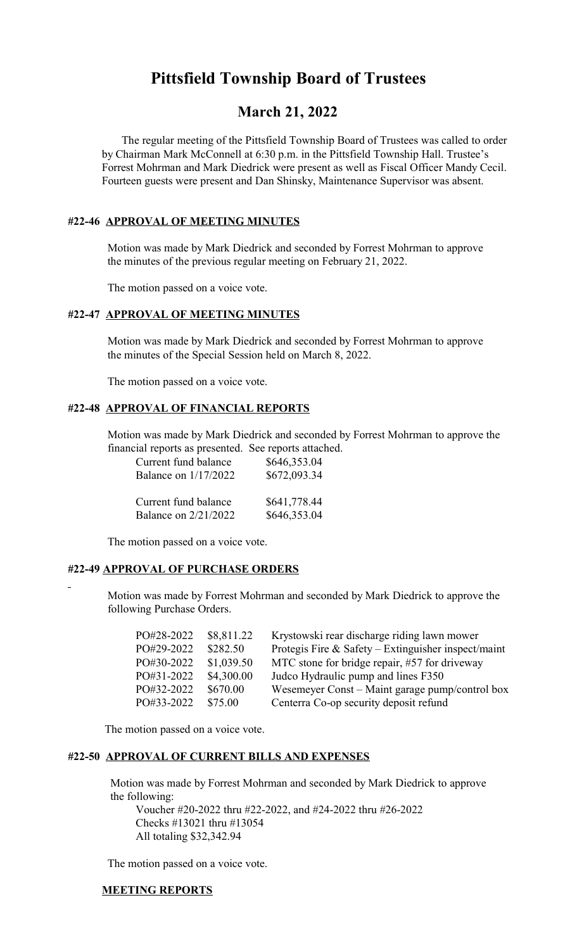# **Pittsfield Township Board of Trustees**

# **March 21, 2022**

 The regular meeting of the Pittsfield Township Board of Trustees was called to order by Chairman Mark McConnell at 6:30 p.m. in the Pittsfield Township Hall. Trustee's Forrest Mohrman and Mark Diedrick were present as well as Fiscal Officer Mandy Cecil. Fourteen guests were present and Dan Shinsky, Maintenance Supervisor was absent.

# **#22-46 APPROVAL OF MEETING MINUTES**

 Motion was made by Mark Diedrick and seconded by Forrest Mohrman to approve the minutes of the previous regular meeting on February 21, 2022.

The motion passed on a voice vote.

# **#22-47 APPROVAL OF MEETING MINUTES**

 Motion was made by Mark Diedrick and seconded by Forrest Mohrman to approve the minutes of the Special Session held on March 8, 2022.

The motion passed on a voice vote.

#### **#22-48 APPROVAL OF FINANCIAL REPORTS**

 Motion was made by Mark Diedrick and seconded by Forrest Mohrman to approve the financial reports as presented. See reports attached.

| Current fund balance | \$646,353.04 |
|----------------------|--------------|
| Balance on 1/17/2022 | \$672,093.34 |
| Current fund balance | \$641,778.44 |
| Balance on 2/21/2022 | \$646,353.04 |

The motion passed on a voice vote.

#### **#22-49 APPROVAL OF PURCHASE ORDERS**

 Motion was made by Forrest Mohrman and seconded by Mark Diedrick to approve the following Purchase Orders.

| PO#28-2022 | \$8,811.22 | Krystowski rear discharge riding lawn mower         |
|------------|------------|-----------------------------------------------------|
| PO#29-2022 | \$282.50   | Protegis Fire & Safety – Extinguisher inspect/maint |
| PO#30-2022 | \$1,039.50 | MTC stone for bridge repair, #57 for driveway       |
| PO#31-2022 | \$4,300.00 | Judco Hydraulic pump and lines F350                 |
| PO#32-2022 | \$670.00   | Wesemeyer Const – Maint garage pump/control box     |
| PO#33-2022 | \$75.00    | Centerra Co-op security deposit refund              |

The motion passed on a voice vote.

#### **#22-50 APPROVAL OF CURRENT BILLS AND EXPENSES**

 Motion was made by Forrest Mohrman and seconded by Mark Diedrick to approve the following:

Voucher #20-2022 thru #22-2022, and #24-2022 thru #26-2022 Checks #13021 thru #13054 All totaling \$32,342.94

The motion passed on a voice vote.

#### **MEETING REPORTS**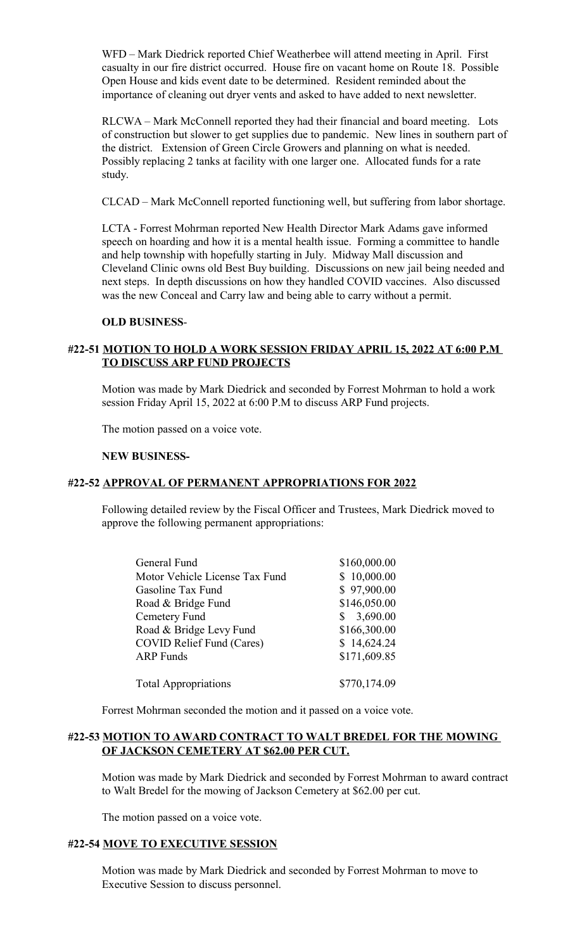WFD – Mark Diedrick reported Chief Weatherbee will attend meeting in April. First casualty in our fire district occurred. House fire on vacant home on Route 18. Possible Open House and kids event date to be determined. Resident reminded about the importance of cleaning out dryer vents and asked to have added to next newsletter.

RLCWA – Mark McConnell reported they had their financial and board meeting. Lots of construction but slower to get supplies due to pandemic. New lines in southern part of the district. Extension of Green Circle Growers and planning on what is needed. Possibly replacing 2 tanks at facility with one larger one. Allocated funds for a rate study.

CLCAD – Mark McConnell reported functioning well, but suffering from labor shortage.

LCTA - Forrest Mohrman reported New Health Director Mark Adams gave informed speech on hoarding and how it is a mental health issue. Forming a committee to handle and help township with hopefully starting in July. Midway Mall discussion and Cleveland Clinic owns old Best Buy building. Discussions on new jail being needed and next steps. In depth discussions on how they handled COVID vaccines. Also discussed was the new Conceal and Carry law and being able to carry without a permit.

#### **OLD BUSINESS**-

# **#22-51 MOTION TO HOLD A WORK SESSION FRIDAY APRIL 15, 2022 AT 6:00 P.M TO DISCUSS ARP FUND PROJECTS**

Motion was made by Mark Diedrick and seconded by Forrest Mohrman to hold a work session Friday April 15, 2022 at 6:00 P.M to discuss ARP Fund projects.

The motion passed on a voice vote.

#### **NEW BUSINESS-**

#### **#22-52 APPROVAL OF PERMANENT APPROPRIATIONS FOR 2022**

Following detailed review by the Fiscal Officer and Trustees, Mark Diedrick moved to approve the following permanent appropriations:

| General Fund                     | \$160,000.00 |
|----------------------------------|--------------|
| Motor Vehicle License Tax Fund   | \$10,000.00  |
| Gasoline Tax Fund                | \$97,900.00  |
| Road & Bridge Fund               | \$146,050.00 |
| Cemetery Fund                    | \$3,690.00   |
| Road & Bridge Levy Fund          | \$166,300.00 |
| <b>COVID Relief Fund (Cares)</b> | \$14,624.24  |
| <b>ARP</b> Funds                 | \$171,609.85 |
| <b>Total Appropriations</b>      | \$770,174.09 |

Forrest Mohrman seconded the motion and it passed on a voice vote.

#### **#22-53 MOTION TO AWARD CONTRACT TO WALT BREDEL FOR THE MOWING OF JACKSON CEMETERY AT \$62.00 PER CUT.**

Motion was made by Mark Diedrick and seconded by Forrest Mohrman to award contract to Walt Bredel for the mowing of Jackson Cemetery at \$62.00 per cut.

The motion passed on a voice vote.

#### **#22-54 MOVE TO EXECUTIVE SESSION**

Motion was made by Mark Diedrick and seconded by Forrest Mohrman to move to Executive Session to discuss personnel.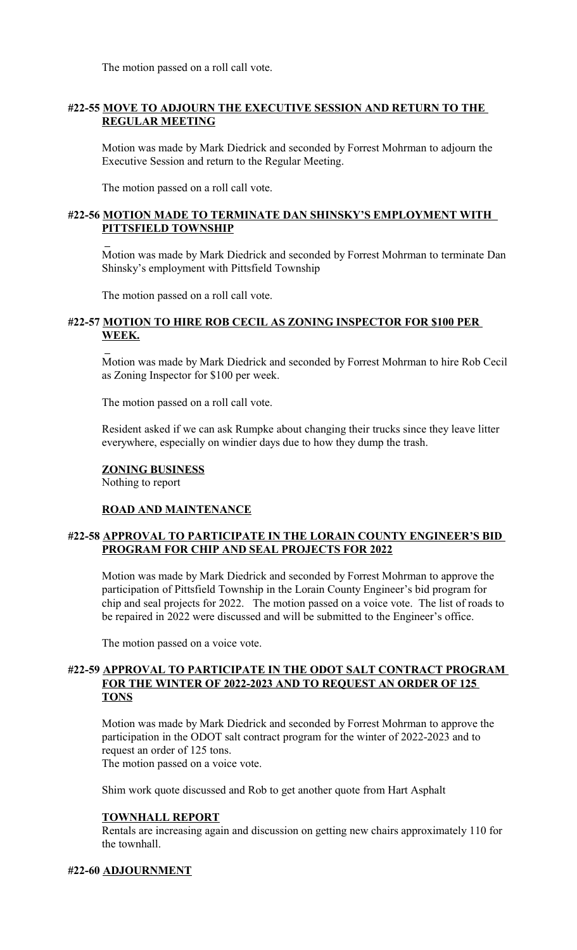The motion passed on a roll call vote.

# **#22-55 MOVE TO ADJOURN THE EXECUTIVE SESSION AND RETURN TO THE REGULAR MEETING**

Motion was made by Mark Diedrick and seconded by Forrest Mohrman to adjourn the Executive Session and return to the Regular Meeting.

The motion passed on a roll call vote.

# **#22-56 MOTION MADE TO TERMINATE DAN SHINSKY'S EMPLOYMENT WITH PITTSFIELD TOWNSHIP**

Motion was made by Mark Diedrick and seconded by Forrest Mohrman to terminate Dan Shinsky's employment with Pittsfield Township

The motion passed on a roll call vote.

# **#22-57 MOTION TO HIRE ROB CECIL AS ZONING INSPECTOR FOR \$100 PER WEEK.**

Motion was made by Mark Diedrick and seconded by Forrest Mohrman to hire Rob Cecil as Zoning Inspector for \$100 per week.

The motion passed on a roll call vote.

Resident asked if we can ask Rumpke about changing their trucks since they leave litter everywhere, especially on windier days due to how they dump the trash.

#### **ZONING BUSINESS**

Nothing to report

#### **ROAD AND MAINTENANCE**

# **#22-58 APPROVAL TO PARTICIPATE IN THE LORAIN COUNTY ENGINEER'S BID PROGRAM FOR CHIP AND SEAL PROJECTS FOR 2022**

Motion was made by Mark Diedrick and seconded by Forrest Mohrman to approve the participation of Pittsfield Township in the Lorain County Engineer's bid program for chip and seal projects for 2022. The motion passed on a voice vote. The list of roads to be repaired in 2022 were discussed and will be submitted to the Engineer's office.

The motion passed on a voice vote.

# **#22-59 APPROVAL TO PARTICIPATE IN THE ODOT SALT CONTRACT PROGRAM FOR THE WINTER OF 2022-2023 AND TO REQUEST AN ORDER OF 125 TONS**

Motion was made by Mark Diedrick and seconded by Forrest Mohrman to approve the participation in the ODOT salt contract program for the winter of 2022-2023 and to request an order of 125 tons. The motion passed on a voice vote.

Shim work quote discussed and Rob to get another quote from Hart Asphalt

#### **TOWNHALL REPORT**

Rentals are increasing again and discussion on getting new chairs approximately 110 for the townhall.

#### **#22-60 ADJOURNMENT**